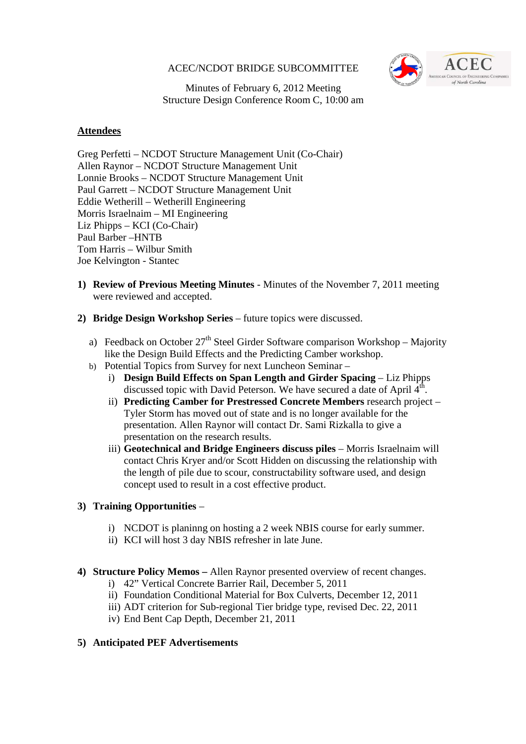#### ACEC/NCDOT BRIDGE SUBCOMMITTEE



Minutes of February 6, 2012 Meeting Structure Design Conference Room C, 10:00 am

#### **Attendees**

Greg Perfetti – NCDOT Structure Management Unit (Co-Chair) Allen Raynor – NCDOT Structure Management Unit Lonnie Brooks – NCDOT Structure Management Unit Paul Garrett – NCDOT Structure Management Unit Eddie Wetherill – Wetherill Engineering Morris Israelnaim – MI Engineering Liz Phipps – KCI (Co-Chair) Paul Barber –HNTB Tom Harris – Wilbur Smith Joe Kelvington - Stantec

- **1) Review of Previous Meeting Minutes** Minutes of the November 7, 2011 meeting were reviewed and accepted.
- **2) Bridge Design Workshop Series** future topics were discussed.
	- a) Feedback on October  $27<sup>th</sup>$  Steel Girder Software comparison Workshop Majority like the Design Build Effects and the Predicting Camber workshop.
	- b) Potential Topics from Survey for next Luncheon Seminar
		- i) **Design Build Effects on Span Length and Girder Spacing** Liz Phipps discussed topic with David Peterson. We have secured a date of April  $4<sup>th</sup>$ .
		- ii) **Predicting Camber for Prestressed Concrete Members** research project Tyler Storm has moved out of state and is no longer available for the presentation. Allen Raynor will contact Dr. Sami Rizkalla to give a presentation on the research results.
		- iii) **Geotechnical and Bridge Engineers discuss piles** Morris Israelnaim will contact Chris Kryer and/or Scott Hidden on discussing the relationship with the length of pile due to scour, constructability software used, and design concept used to result in a cost effective product.

# **3) Training Opportunities** –

- i) NCDOT is planinng on hosting a 2 week NBIS course for early summer.
- ii) KCI will host 3 day NBIS refresher in late June.
- **4) Structure Policy Memos** Allen Raynor presented overview of recent changes.
	- i) 42" Vertical Concrete Barrier Rail, December 5, 2011
	- ii) Foundation Conditional Material for Box Culverts, December 12, 2011
	- iii) ADT criterion for Sub-regional Tier bridge type, revised Dec. 22, 2011
	- iv) End Bent Cap Depth, December 21, 2011

# **5) Anticipated PEF Advertisements**